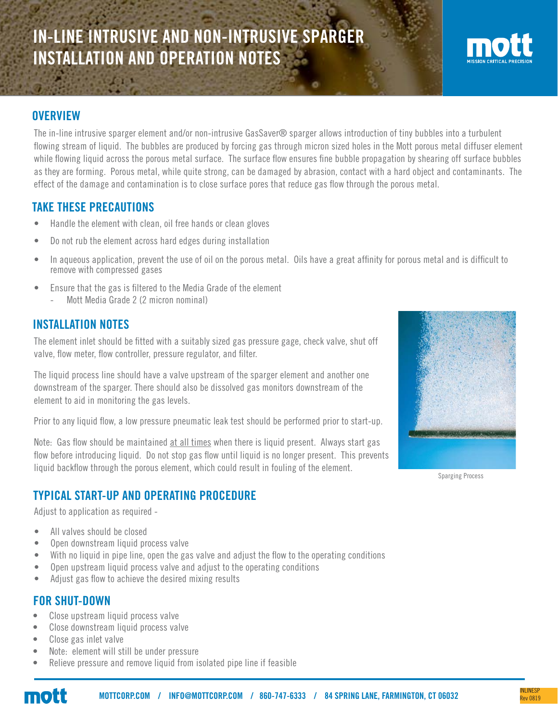# IN-LINE INTRUSIVE AND NON-INTRUSIVE SPARGER INSTALLATION AND OPERATION NOTES



#### **OVERVIEW**

The in-line intrusive sparger element and/or non-intrusive GasSaver® sparger allows introduction of tiny bubbles into a turbulent flowing stream of liquid. The bubbles are produced by forcing gas through micron sized holes in the Mott porous metal diffuser element while flowing liquid across the porous metal surface. The surface flow ensures fine bubble propagation by shearing off surface bubbles as they are forming. Porous metal, while quite strong, can be damaged by abrasion, contact with a hard object and contaminants. The effect of the damage and contamination is to close surface pores that reduce gas flow through the porous metal.

#### TAKE THESE PRECAUTIONS

- Handle the element with clean, oil free hands or clean gloves
- Do not rub the element across hard edges during installation
- In aqueous application, prevent the use of oil on the porous metal. Oils have a great affinity for porous metal and is difficult to remove with compressed gases
- Ensure that the gas is filtered to the Media Grade of the element
	- Mott Media Grade 2 (2 micron nominal)

#### INSTALLATION NOTES

The element inlet should be fitted with a suitably sized gas pressure gage, check valve, shut off valve, flow meter, flow controller, pressure regulator, and filter.

The liquid process line should have a valve upstream of the sparger element and another one downstream of the sparger. There should also be dissolved gas monitors downstream of the element to aid in monitoring the gas levels.

Prior to any liquid flow, a low pressure pneumatic leak test should be performed prior to start-up.

Note: Gas flow should be maintained at all times when there is liquid present. Always start gas flow before introducing liquid. Do not stop gas flow until liquid is no longer present. This prevents liquid backflow through the porous element, which could result in fouling of the element.

## TYPICAL START-UP AND OPERATING PROCEDURE

Adjust to application as required -

- All valves should be closed
- Open downstream liquid process valve
- With no liquid in pipe line, open the gas valve and adjust the flow to the operating conditions
- Open upstream liquid process valve and adjust to the operating conditions
- Adjust gas flow to achieve the desired mixing results

#### FOR SHUT-DOWN

- Close upstream liquid process valve
- Close downstream liquid process valve
- Close gas inlet valve
- Note: element will still be under pressure
- Relieve pressure and remove liquid from isolated pipe line if feasible



Sparging Process